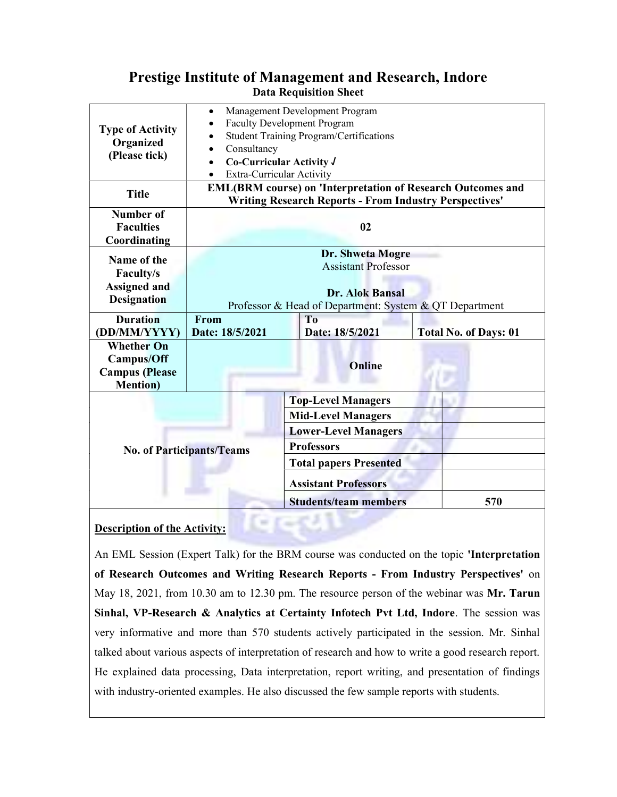## Prestige Institute of Management and Research, Indore Data Requisition Sheet

| <b>Type of Activity</b><br>Organized<br>(Please tick)                               | Management Development Program<br>$\bullet$<br><b>Faculty Development Program</b><br><b>Student Training Program/Certifications</b><br>Consultancy<br>Co-Curricular Activity J<br>Extra-Curricular Activity<br><b>EML(BRM course) on 'Interpretation of Research Outcomes and</b> |                                                        |                              |
|-------------------------------------------------------------------------------------|-----------------------------------------------------------------------------------------------------------------------------------------------------------------------------------------------------------------------------------------------------------------------------------|--------------------------------------------------------|------------------------------|
| <b>Title</b>                                                                        | <b>Writing Research Reports - From Industry Perspectives'</b>                                                                                                                                                                                                                     |                                                        |                              |
| Number of<br><b>Faculties</b><br>Coordinating                                       | 02                                                                                                                                                                                                                                                                                |                                                        |                              |
| Name of the<br>Faculty/s<br><b>Assigned and</b><br><b>Designation</b>               | Dr. Shweta Mogre<br><b>Assistant Professor</b><br><b>Dr. Alok Bansal</b><br>Professor & Head of Department: System & QT Department                                                                                                                                                |                                                        |                              |
| <b>Duration</b><br>(DD/MM/YYYY)                                                     | From<br>Date: 18/5/2021                                                                                                                                                                                                                                                           | To<br>Date: 18/5/2021                                  | <b>Total No. of Days: 01</b> |
| <b>Whether On</b><br><b>Campus/Off</b><br><b>Campus</b> (Please<br><b>Mention</b> ) |                                                                                                                                                                                                                                                                                   | <b>Online</b>                                          |                              |
| <b>No. of Participants/Teams</b>                                                    |                                                                                                                                                                                                                                                                                   | <b>Top-Level Managers</b><br><b>Mid-Level Managers</b> |                              |
|                                                                                     |                                                                                                                                                                                                                                                                                   | <b>Lower-Level Managers</b>                            |                              |
|                                                                                     |                                                                                                                                                                                                                                                                                   | <b>Professors</b>                                      |                              |
|                                                                                     |                                                                                                                                                                                                                                                                                   | <b>Total papers Presented</b>                          |                              |
|                                                                                     |                                                                                                                                                                                                                                                                                   | <b>Assistant Professors</b>                            |                              |
|                                                                                     |                                                                                                                                                                                                                                                                                   | <b>Students/team members</b>                           | 570                          |

## Description of the Activity:

An EML Session (Expert Talk) for the BRM course was conducted on the topic 'Interpretation of Research Outcomes and Writing Research Reports - From Industry Perspectives' on May 18, 2021, from 10.30 am to 12.30 pm. The resource person of the webinar was Mr. Tarun Sinhal, VP-Research & Analytics at Certainty Infotech Pvt Ltd, Indore. The session was very informative and more than 570 students actively participated in the session. Mr. Sinhal talked about various aspects of interpretation of research and how to write a good research report. He explained data processing, Data interpretation, report writing, and presentation of findings with industry-oriented examples. He also discussed the few sample reports with students.

L H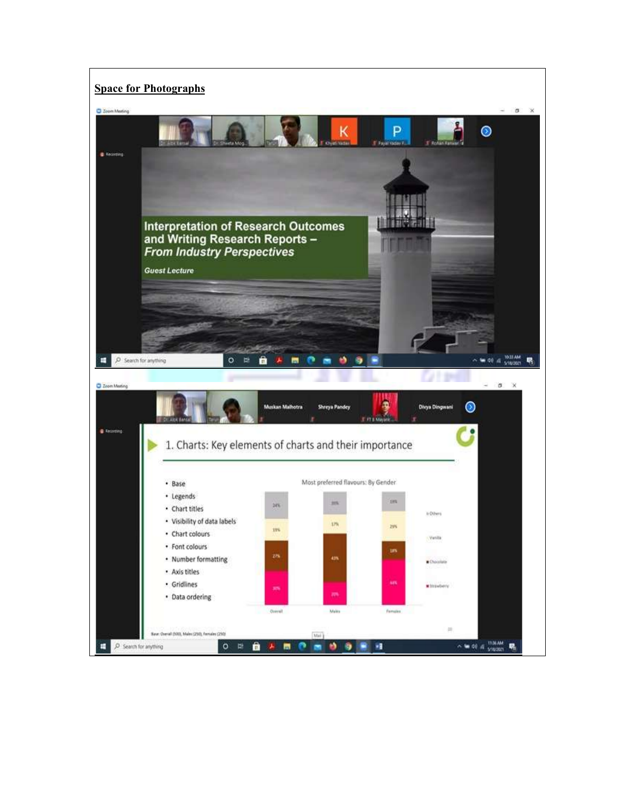## **Space for Photographs**